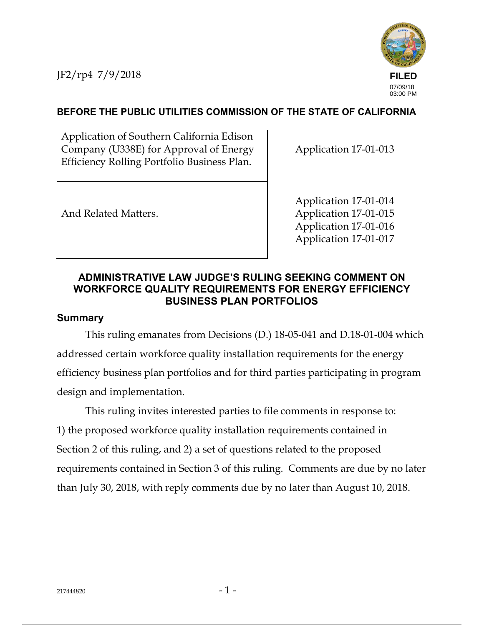JF2/rp4 7/9/2018



# **BEFORE THE PUBLIC UTILITIES COMMISSION OF THE STATE OF CALIFORNIA**

Application of Southern California Edison Company (U338E) for Approval of Energy Efficiency Rolling Portfolio Business Plan.

Application 17-01-013

And Related Matters.

Application 17-01-014 Application 17-01-015 Application 17-01-016 Application 17-01-017

# **ADMINISTRATIVE LAW JUDGE'S RULING SEEKING COMMENT ON WORKFORCE QUALITY REQUIREMENTS FOR ENERGY EFFICIENCY BUSINESS PLAN PORTFOLIOS**

### **Summary**

This ruling emanates from Decisions (D.) 18-05-041 and D.18-01-004 which addressed certain workforce quality installation requirements for the energy efficiency business plan portfolios and for third parties participating in program design and implementation.

This ruling invites interested parties to file comments in response to: 1) the proposed workforce quality installation requirements contained in Section 2 of this ruling, and 2) a set of questions related to the proposed requirements contained in Section 3 of this ruling. Comments are due by no later than July 30, 2018, with reply comments due by no later than August 10, 2018.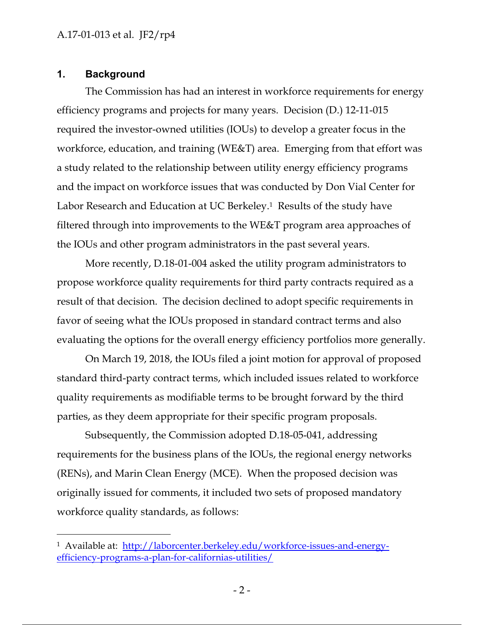### **1. Background**

The Commission has had an interest in workforce requirements for energy efficiency programs and projects for many years. Decision (D.) 12-11-015 required the investor-owned utilities (IOUs) to develop a greater focus in the workforce, education, and training (WE&T) area. Emerging from that effort was a study related to the relationship between utility energy efficiency programs and the impact on workforce issues that was conducted by Don Vial Center for Labor Research and Education at UC Berkeley.<sup>1</sup> Results of the study have filtered through into improvements to the WE&T program area approaches of the IOUs and other program administrators in the past several years.

More recently, D.18-01-004 asked the utility program administrators to propose workforce quality requirements for third party contracts required as a result of that decision. The decision declined to adopt specific requirements in favor of seeing what the IOUs proposed in standard contract terms and also evaluating the options for the overall energy efficiency portfolios more generally.

On March 19, 2018, the IOUs filed a joint motion for approval of proposed standard third-party contract terms, which included issues related to workforce quality requirements as modifiable terms to be brought forward by the third parties, as they deem appropriate for their specific program proposals.

Subsequently, the Commission adopted D.18-05-041, addressing requirements for the business plans of the IOUs, the regional energy networks (RENs), and Marin Clean Energy (MCE). When the proposed decision was originally issued for comments, it included two sets of proposed mandatory workforce quality standards, as follows:

<sup>&</sup>lt;sup>1</sup> Available at: http://laborcenter.berkeley.edu/workforce-issues-and-energyefficiency-programs-a-plan-for-californias-utilities/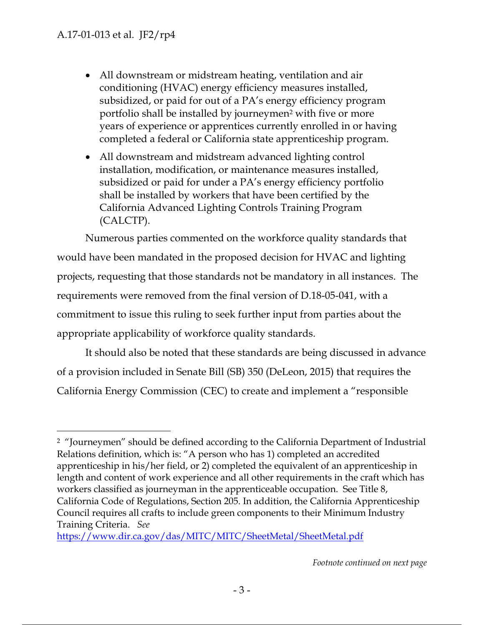- All downstream or midstream heating, ventilation and air conditioning (HVAC) energy efficiency measures installed, subsidized, or paid for out of a PA's energy efficiency program portfolio shall be installed by journeymen<sup>2</sup> with five or more years of experience or apprentices currently enrolled in or having completed a federal or California state apprenticeship program.
- All downstream and midstream advanced lighting control installation, modification, or maintenance measures installed, subsidized or paid for under a PA's energy efficiency portfolio shall be installed by workers that have been certified by the California Advanced Lighting Controls Training Program (CALCTP).

Numerous parties commented on the workforce quality standards that would have been mandated in the proposed decision for HVAC and lighting projects, requesting that those standards not be mandatory in all instances. The requirements were removed from the final version of D.18-05-041, with a commitment to issue this ruling to seek further input from parties about the appropriate applicability of workforce quality standards.

It should also be noted that these standards are being discussed in advance of a provision included in Senate Bill (SB) 350 (DeLeon, 2015) that requires the California Energy Commission (CEC) to create and implement a "responsible

https://www.dir.ca.gov/das/MITC/MITC/SheetMetal/SheetMetal.pdf

 <sup>2</sup> "Journeymen" should be defined according to the California Department of Industrial Relations definition, which is: "A person who has 1) completed an accredited apprenticeship in his/her field, or 2) completed the equivalent of an apprenticeship in length and content of work experience and all other requirements in the craft which has workers classified as journeyman in the apprenticeable occupation. See Title 8, California Code of Regulations, Section 205. In addition, the California Apprenticeship Council requires all crafts to include green components to their Minimum Industry Training Criteria. *See*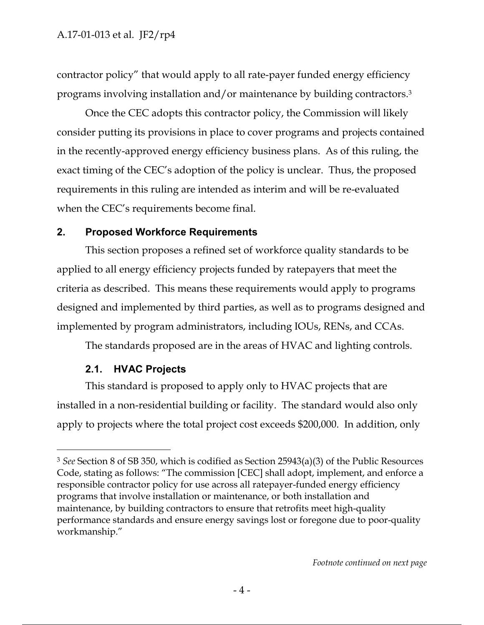contractor policy" that would apply to all rate-payer funded energy efficiency programs involving installation and/or maintenance by building contractors.<sup>3</sup>

Once the CEC adopts this contractor policy, the Commission will likely consider putting its provisions in place to cover programs and projects contained in the recently-approved energy efficiency business plans. As of this ruling, the exact timing of the CEC's adoption of the policy is unclear. Thus, the proposed requirements in this ruling are intended as interim and will be re-evaluated when the CEC's requirements become final.

### **2. Proposed Workforce Requirements**

This section proposes a refined set of workforce quality standards to be applied to all energy efficiency projects funded by ratepayers that meet the criteria as described. This means these requirements would apply to programs designed and implemented by third parties, as well as to programs designed and implemented by program administrators, including IOUs, RENs, and CCAs.

The standards proposed are in the areas of HVAC and lighting controls.

#### **2.1. HVAC Projects**

 $\overline{a}$ 

This standard is proposed to apply only to HVAC projects that are installed in a non-residential building or facility. The standard would also only apply to projects where the total project cost exceeds \$200,000. In addition, only

<sup>3</sup> *See* Section 8 of SB 350, which is codified as Section 25943(a)(3) of the Public Resources Code, stating as follows: "The commission [CEC] shall adopt, implement, and enforce a responsible contractor policy for use across all ratepayer-funded energy efficiency programs that involve installation or maintenance, or both installation and maintenance, by building contractors to ensure that retrofits meet high-quality performance standards and ensure energy savings lost or foregone due to poor-quality workmanship."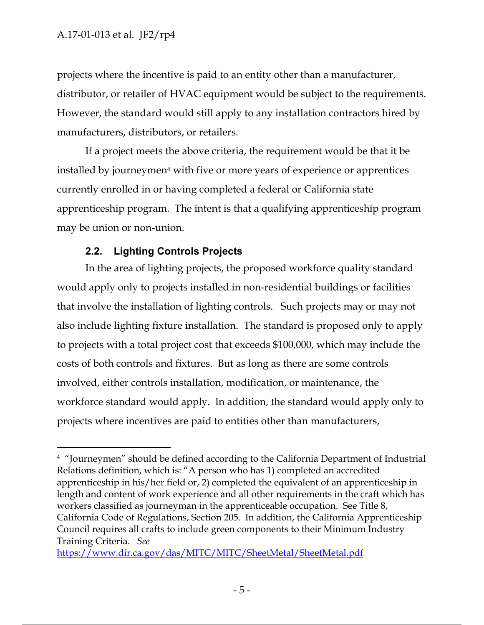projects where the incentive is paid to an entity other than a manufacturer, distributor, or retailer of HVAC equipment would be subject to the requirements. However, the standard would still apply to any installation contractors hired by manufacturers, distributors, or retailers.

If a project meets the above criteria, the requirement would be that it be installed by journeymen<sup>4</sup> with five or more years of experience or apprentices currently enrolled in or having completed a federal or California state apprenticeship program. The intent is that a qualifying apprenticeship program may be union or non-union.

# **2.2. Lighting Controls Projects**

In the area of lighting projects, the proposed workforce quality standard would apply only to projects installed in non-residential buildings or facilities that involve the installation of lighting controls. Such projects may or may not also include lighting fixture installation. The standard is proposed only to apply to projects with a total project cost that exceeds \$100,000, which may include the costs of both controls and fixtures. But as long as there are some controls involved, either controls installation, modification, or maintenance, the workforce standard would apply. In addition, the standard would apply only to projects where incentives are paid to entities other than manufacturers,

 <sup>4</sup> "Journeymen" should be defined according to the California Department of Industrial Relations definition, which is: "A person who has 1) completed an accredited apprenticeship in his/her field or, 2) completed the equivalent of an apprenticeship in length and content of work experience and all other requirements in the craft which has workers classified as journeyman in the apprenticeable occupation. See Title 8, California Code of Regulations, Section 205. In addition, the California Apprenticeship Council requires all crafts to include green components to their Minimum Industry Training Criteria. *See*

https://www.dir.ca.gov/das/MITC/MITC/SheetMetal/SheetMetal.pdf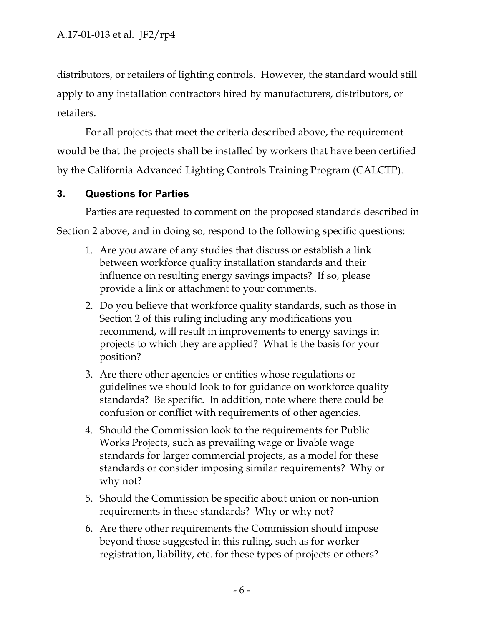distributors, or retailers of lighting controls. However, the standard would still apply to any installation contractors hired by manufacturers, distributors, or retailers.

For all projects that meet the criteria described above, the requirement would be that the projects shall be installed by workers that have been certified by the California Advanced Lighting Controls Training Program (CALCTP).

### **3. Questions for Parties**

Parties are requested to comment on the proposed standards described in Section 2 above, and in doing so, respond to the following specific questions:

- 1. Are you aware of any studies that discuss or establish a link between workforce quality installation standards and their influence on resulting energy savings impacts? If so, please provide a link or attachment to your comments.
- 2. Do you believe that workforce quality standards, such as those in Section 2 of this ruling including any modifications you recommend, will result in improvements to energy savings in projects to which they are applied? What is the basis for your position?
- 3. Are there other agencies or entities whose regulations or guidelines we should look to for guidance on workforce quality standards? Be specific. In addition, note where there could be confusion or conflict with requirements of other agencies.
- 4. Should the Commission look to the requirements for Public Works Projects, such as prevailing wage or livable wage standards for larger commercial projects, as a model for these standards or consider imposing similar requirements? Why or why not?
- 5. Should the Commission be specific about union or non-union requirements in these standards? Why or why not?
- 6. Are there other requirements the Commission should impose beyond those suggested in this ruling, such as for worker registration, liability, etc. for these types of projects or others?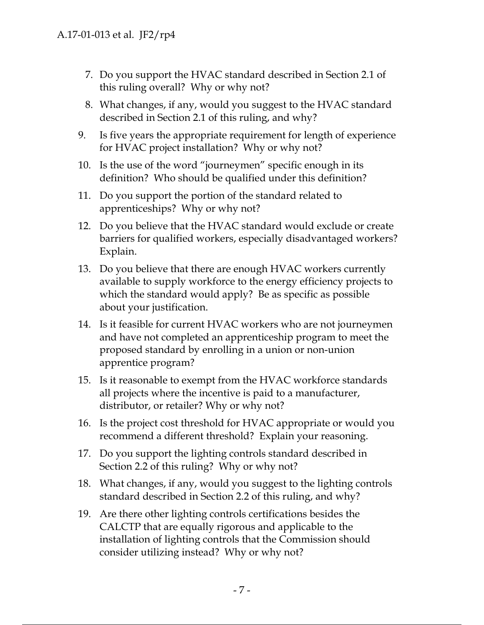- 7. Do you support the HVAC standard described in Section 2.1 of this ruling overall? Why or why not?
- 8. What changes, if any, would you suggest to the HVAC standard described in Section 2.1 of this ruling, and why?
- 9. Is five years the appropriate requirement for length of experience for HVAC project installation? Why or why not?
- 10. Is the use of the word "journeymen" specific enough in its definition? Who should be qualified under this definition?
- 11. Do you support the portion of the standard related to apprenticeships? Why or why not?
- 12. Do you believe that the HVAC standard would exclude or create barriers for qualified workers, especially disadvantaged workers? Explain.
- 13. Do you believe that there are enough HVAC workers currently available to supply workforce to the energy efficiency projects to which the standard would apply? Be as specific as possible about your justification.
- 14. Is it feasible for current HVAC workers who are not journeymen and have not completed an apprenticeship program to meet the proposed standard by enrolling in a union or non-union apprentice program?
- 15. Is it reasonable to exempt from the HVAC workforce standards all projects where the incentive is paid to a manufacturer, distributor, or retailer? Why or why not?
- 16. Is the project cost threshold for HVAC appropriate or would you recommend a different threshold? Explain your reasoning.
- 17. Do you support the lighting controls standard described in Section 2.2 of this ruling? Why or why not?
- 18. What changes, if any, would you suggest to the lighting controls standard described in Section 2.2 of this ruling, and why?
- 19. Are there other lighting controls certifications besides the CALCTP that are equally rigorous and applicable to the installation of lighting controls that the Commission should consider utilizing instead? Why or why not?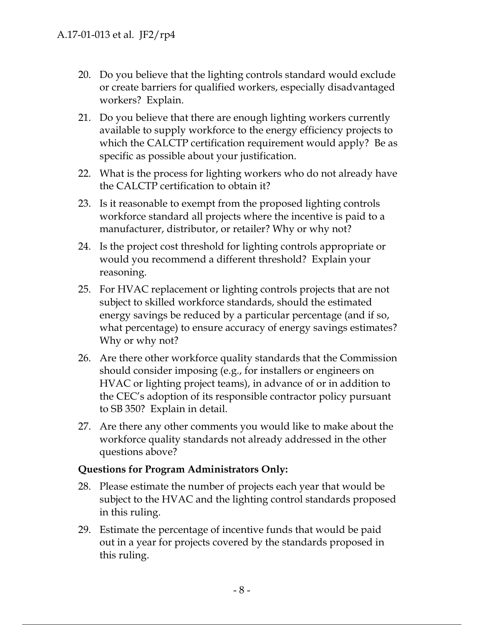- 20. Do you believe that the lighting controls standard would exclude or create barriers for qualified workers, especially disadvantaged workers? Explain.
- 21. Do you believe that there are enough lighting workers currently available to supply workforce to the energy efficiency projects to which the CALCTP certification requirement would apply? Be as specific as possible about your justification.
- 22. What is the process for lighting workers who do not already have the CALCTP certification to obtain it?
- 23. Is it reasonable to exempt from the proposed lighting controls workforce standard all projects where the incentive is paid to a manufacturer, distributor, or retailer? Why or why not?
- 24. Is the project cost threshold for lighting controls appropriate or would you recommend a different threshold? Explain your reasoning.
- 25. For HVAC replacement or lighting controls projects that are not subject to skilled workforce standards, should the estimated energy savings be reduced by a particular percentage (and if so, what percentage) to ensure accuracy of energy savings estimates? Why or why not?
- 26. Are there other workforce quality standards that the Commission should consider imposing (e.g., for installers or engineers on HVAC or lighting project teams), in advance of or in addition to the CEC's adoption of its responsible contractor policy pursuant to SB 350? Explain in detail.
- 27. Are there any other comments you would like to make about the workforce quality standards not already addressed in the other questions above?

### **Questions for Program Administrators Only:**

- 28. Please estimate the number of projects each year that would be subject to the HVAC and the lighting control standards proposed in this ruling.
- 29. Estimate the percentage of incentive funds that would be paid out in a year for projects covered by the standards proposed in this ruling.